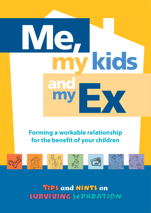## Ey Me, my **my kids** and

## **Forming a workable relationship for the benefit of your children**



Tips **and** hints **on**  surviving separation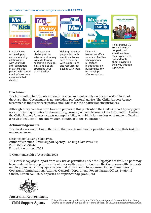#### Available free from **www.csa.gov.au** or call **131 272**:

hints and tips on stretching your dollar further.



and resources for dealing with them. Includes tips on building healthy relationships after separation.

their way through separation.

#### **Disclaimer**

after separation; in particular for parents who spend much of their time away from their children.

The information in this publication is provided as a guide only on the understanding that the Australian Government is not providing professional advice. The Child Support Agency recommends that users seek professional advice for their particular circumstances.

Although every care has been taken in preparing this publication the Child Support Agency gives no warranty or guarantee for the accuracy, currency or completeness of the information. Further, the Child Support Agency accepts no responsibility or liability for any loss or damage suffered as a result of reliance on the information contained in this publication.

#### **Acknowledgements**

The developers would like to thank all the parents and service providers for sharing their insights and experiences.

Designed by Looking Glass Press Author/distributor: Child Support Agency; Looking Glass Press (ill) ISBN: 0-9751931-4-7 First edition printed 2005

© Commonwealth of Australia 2005

This work is copyright. Apart from any use as permitted under the *Copyright Act 1968*, no part may be reproduced by any process without prior written permission from the Commonwealth. Requests and inquiries concerning reproduction and rights should be addressed to the Commonwealth Copyright Administration, Attorney General's Department, Robert Garran Offices, National Circuit, Barton ACT 2600 or posted at http://www.ag.gov.au/cca



**Australian Government** 

**Child Support Agency** 

This publication was produced by the Child Support Agency's External Relations Group. Queries or feedback about this booklet should be sent to CSACommunication@csa.gov.au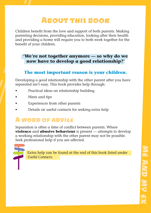## About this book

Children benefit from the love and support of both parents. Making parenting decisions, providing education, looking after their health and providing a home will require you to both work together for the benefit of your children.

#### **'We're not together anymore — so why do we now have to develop a good relationship?'**

#### **The most important reason is your children.**

Developing a good relationship with the other parent after you have separated isn't easy. This book provides help through:

- Practical ideas on relationship building
- Hints and tips
- Experiences from other parents
- Details on useful contacts for seeking extra help

## A word of advice

Separation is often a time of conflict between parents. Where **violence** and **abusive behaviour** is present — attempts to develop a working relationship with the other parent may not be possible. Seek professional help if you are affected.



Extra help can be found at the end of this book listed under *Useful Contacts*.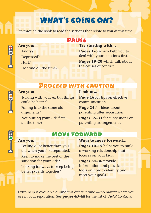## WHAT'S GOING ON?

Flip through the book to read the sections that relate to you at this time.

# Š

**Are you:** Angry? Depressed? Hurt? Fighting all the time?

## Pause

**Try starting with… Pages 1–5** which help you to deal with your emotions first. **Pages 19–20** which talk about the causes of conflict.

### Proceed with caution

## Š

#### **Are you:**

Talking with your ex but things could be better? Falling into the same old arguments? Not putting your kids first all the time?

## **Look at…**

**Page 16** for tips on effective communication.

**Page 24** for ideas about parenting after separation.

**Pages 25–33** for suggestions on parenting arrangements.

## **MOVE FORWARD**

#### **Are you:**

Feeling a lot better than you did when you first separated? Keen to make the best of the situation for your kids? Looking for ways to keep being better parents together?

#### **Ways to move forward…**

**Pages 10–15** helps you to build a working relationship that focuses on your kids.

**Pages 34–36** provide information and practical tools on how to identify and meet your goals.

Extra help is available during this difficult time  $-$  no matter where you are in your separation. See **pages 40–44** for the list of *Useful Contacts*.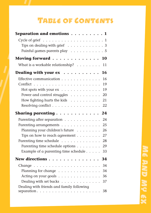## TABLE OF CONTENTS

| Separation and emotions $\ldots \ldots \ldots 1$           |
|------------------------------------------------------------|
|                                                            |
| Tips on dealing with grief $\ldots \ldots \ldots \ldots$ 3 |
| Painful games parents play 5                               |
| Moving forward<br>10                                       |
| What is a workable relationship? $\ldots \ldots$<br>11     |
| Dealing with your $ex \dots \dots \dots$<br>16             |
| Effective communication<br>16                              |
| 19                                                         |
| Hot spots with your ex<br>19                               |
| Power and control struggles<br>20                          |
| How fighting hurts the kids<br>21                          |
| Resolving conflict<br>22                                   |
| Sharing parenting<br>24                                    |
| Parenting after separation<br>24                           |
| Parenting arrangements<br>25                               |
| Planning your children's future<br>26                      |
| Tips on how to reach agreement $\dots \dots$<br>27         |
| Parenting time schedule<br>28                              |
| Parenting time schedule options<br>29                      |
| Example of a parenting time schedule $\ldots$ .<br>33      |
| New directions<br>34                                       |
| 34                                                         |
| Planning for change<br>34                                  |
| Acting on your goals<br>36                                 |
| Dealing with set backs $\ldots$<br>37                      |
| Dealing with friends and family following<br>38            |
|                                                            |

## ME AND MY EX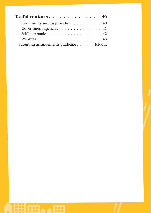| Useful contacts 40                       |  |
|------------------------------------------|--|
| Community service providers 40           |  |
| Government agencies 41                   |  |
| Self help books 42                       |  |
|                                          |  |
| Parenting arrangements guideline foldout |  |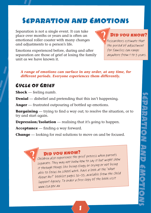## Separation and Emotions

Separation is not a single event. It can take place over months or years and is often an emotional roller coaster with many changes and adjustments to a person's life.

Emotions experienced before, during and after separation are those of grief at losing the family unit as we have known it.

#### DID YOU KNOW?

Researchers estimate that the period of adjustment for families can range anywhere from 1 to 3 years.

#### *A range of emotions can surface in any order, at any time, for different periods. Everyone experiences them differently.*

#### Cycle of Grief

**Shock** — feeling numb.

**Denial** — disbelief and pretending that this isn't happening.

**Anger** — frustrated outpouring of bottled up emotions.

**Bargaining** — trying to find a way out; to resolve the situation, or to try and start again.

**Depression/Isolation** — realising that it's going to happen.

**Acceptance** — finding a way forward.

**Change** — looking for real solutions to move on and be focused.

 $\mathcal{P}$  DID YOU KNOW?<br>Children also experience the grief process when parents separate. They may not know how to say it but might show it through things like being clingy or crying or not being able to focus on school work. Have a look at the 'What About Me?' booklet pages 32–33, available from the Child Support Agency. To order a free copy of the book visit www.csa.gov.au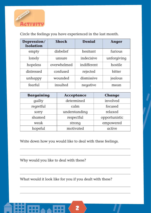

Circle the feelings you have experienced in the last month.

| Depression/<br><b>Isolation</b> | <b>Shock</b> | <b>Denial</b> | Anger       |
|---------------------------------|--------------|---------------|-------------|
| empty                           | disbelief    | hesitant      | furious     |
| lonely                          | unsure       | indecisive    | unforgiving |
| hopeless                        | overwhelmed  | indifferent   | hostile     |
| distressed                      | confused     | rejected      | bitter      |
| unhappy                         | wounded      | dismissive    | jealous     |
| fearful                         | insulted     | negative      | mean        |

| <b>Bargaining</b> | <b>Acceptance</b> | Change        |
|-------------------|-------------------|---------------|
| guilty            | determined        | involved      |
| regretful         | calm              | focused       |
| sorry             | understanding     | relaxed       |
| shamed            | respectful        | opportunistic |
| weak              | strong            | empowered     |
| hopeful           | motivated         | active        |

Write down how you would like to deal with these feelings.

Why would you like to deal with these?

What would it look like for you if you dealt with these?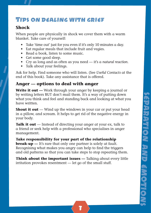### Tips on dealing with grief

#### **Shock**

When people are physically in shock we cover them with a warm blanket. Take care of yourself:

- Take 'time out' just for you even if it's only 10 minutes a day.
- Eat regular meals that include fruit and vegies.
- Read a book, listen to some music.
- Get some good sleep.
- Cry as long and as often as you need it's a *natural reaction*.
- Talk about your feelings.

Ask for help. Find someone who will listen. (See *Useful Contacts* at the end of this book). Take any assistance that is offered.

#### **Anger — options to deal with anger**

**Write it out —** Work through your anger by keeping a journal or by writing letters BUT don't mail them. It's a way of putting down what you think and feel and standing back and looking at what you have written.

**Shout it out** — Wind up the windows in your car or put your head in a pillow, and scream. It helps to get rid of the negative energy in your body.

**Talk it out** — Instead of directing your anger at your ex, talk to a friend or seek help with a professional who specialises in anger management.

#### **Take responsibility for your part of the relationship**

**break-up** — It's rare that only one partner is solely at fault. Recognising what makes you angry can help to find the triggers and old patterns so that you can take steps to stop repeating them.

**Think about the important issues —** Talking about every little irritation provokes resentment — let go of the small stuff.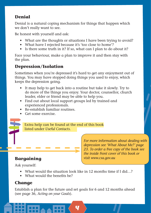#### **Denial**

Denial is a natural coping mechanism for things that happen which we don't really want to see.

Be honest with yourself and ask:

- What are the thoughts or situations I have been trying to avoid?
- What have I rejected because it's 'too close to home'?
- Is there some truth in it? If so, what can I plan to do about it?

Face your behaviour, make a plan to improve it and then stay with the plan.

#### **Depression/Isolation**

Sometimes when you're depressed it's hard to get any enjoyment out of things. You may have stopped doing things you used to enjoy, which keeps the depression going.

- It may help to get back into a routine but take it slowly. Try to do more of the things you enjoy. Your doctor, counsellor, church leader, elder or friend may be able to help you.
- Find out about local support groups led by trained and experienced professionals.
- Re-establish familiar routines.
- Get some exercise.

Extra help can be found at the end of this book listed under *Useful Contacts.* 

#### **Bargaining**

*For more information about dealing with depression see 'What About Me?' page 23. To order a free copy of the book see the inside front cover of this book or visit www.csa.gov.au*

Ask yourself:

- What would the situation look like in 12 months time if I did...?
- $\bullet$  What would the benefits be?

### **Change**

Establish a plan for the future and set goals for 6 and 12 months ahead (see page 36, *Acting on your Goals*).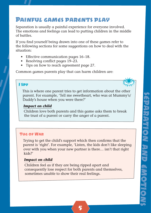## Painful games parents play

Separation is usually a painful experience for everyone involved. The emotions and feelings can lead to putting children in the middle of battles.

If you find yourself being drawn into one of these games refer to the following sections for some suggestions on how to deal with the situation:

- Effective communication pages 16–18.
- Resolving conflict pages  $19-23$ .
- Tips on how to reach agreement page 27.

Common games parents play that can harm children are:

#### I Spy

This is where one parent tries to get information about the other parent. For example, 'Tell me sweetheart, who was at Mummy's/ Daddy's house when you were there?'

#### *Impact on child*

Children love both parents and this game asks them to break the trust of a parent or carry the anger of a parent.

#### Tug of War

Trying to get the child's support which then confirms that the parent is 'right'. For example, 'Listen, the kids don't like sleeping over with you when your new partner is there… isn't that right kids?'

#### *Impact on child*

Children feel as if they are being ripped apart and consequently lose respect for both parents and themselves, sometimes unable to show their real feelings.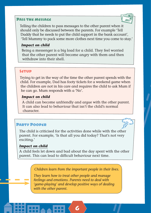#### Pass the message



Telling the children to pass messages to the other parent when it should only be discussed between the parents. For example 'Tell Daddy that he needs to put the child support in the bank account', 'Tell Mummy to pack some more clothes next time you come to stay.'

#### *Impact on child*

Being a messenger is a big load for a child. They feel worried that the other parent will become angry with them and then withdraw into their shell.

#### **SETUP**

Trying to get in the way of the time the other parent spends with the child. For example, Dad has footy tickets for a weekend game when the children are not in his care and requires the child to ask Mum if he can go. Mum responds with a 'No'.

#### *Impact on child*

A child can become unfriendly and argue with the other parent. It can also lead to behaviour that isn't the child's normal character.

#### Party Pooper

The child is criticised for the activities done while with the other parent. For example, 'Is that all you did today? That's not very exciting.'

#### *Impact on child*

A child feels let down and bad about the day spent with the other parent. This can lead to difficult behaviour next time.

*Children learn from the important people in their lives.* 

*They learn how to treat other people and manage feelings and emotions. Parents need to deal with 'game-playing' and develop positive ways of dealing with the other parent.*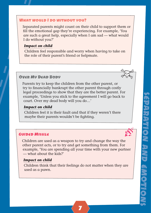#### What would I do without you?

Separated parents might count on their child to support them or fill the emotional gap they're experiencing. For example, 'You are such a great help, especially when I am sad — what would I do without you?'

#### *Impact on child*

Children feel responsible and worry when having to take on the role of their parent's friend or helpmate.

#### Over My Dead Body

Parents try to keep the children from the other parent, or try to financially bankrupt the other parent through costly legal proceedings to show that they are the better parent. For example, 'Unless you stick to the agreement I will go back to court. Over my dead body will you do…'

#### *Impact on child*

Children feel it is their fault and that if they weren't there maybe their parents wouldn't be fighting.

#### Guided Missile

Children are used as a weapon to try and change the way the other parent acts, or to try and get something from them. For example, 'You are spending all your time with your new partner — what about the kids?'

#### *Impact on child*

Children think that their feelings do not matter when they are used as a pawn.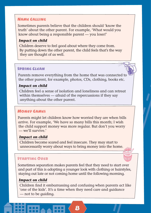#### Name Calling

Sometimes parents believe that the children should 'know the truth' about the other parent. For example, 'What would you know about being a responsible parent — you loser!'

#### *Impact on child*

Children deserve to feel good about where they come from. By putting down the other parent, the child feels that's the way they are thought of as well.

#### Spring Clean

Parents remove everything from the home that was connected to the other parent, for example, photos, CDs, clothing, books etc.

#### *Impact on child*

Children feel a sense of isolation and loneliness and can retreat within themselves — afraid of the repercussions if they say anything about the other parent.

#### Money Games

Parents might let children know how worried they are when bills arrive. For example, 'We have so many bills this month; I wish the child support money was more regular. But don't you worry — we'll survive.'

#### *Impact on child*

Children become scared and feel insecure. They may start to unnecessarily worry about ways to bring money into the home.

#### **STADTING OVED**

Sometimes separation makes parents feel that they need to start over and part of this is adopting a younger look with clothing or hairstyles, staying out late or not coming home until the following morning.

#### *Impact on child*

Children find it embarrassing and confusing when parents act like 'one of the kids'. It's a time when they need care and guidance — not to be guiding.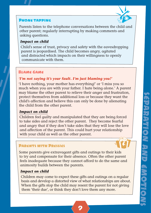#### Phone tapping



Parents listen to the telephone conversations between the child and other parent; regularly interrupting by making comments and asking questions.

#### *Impact on child*

Child's sense of trust, privacy and safety with the eavesdropping parent is jeopardised. The child becomes angry, agitated and distracted which impacts on their willingness to openly communicate with them.

#### Blame Game

#### *'I'm not saying it's your fault. I'm just blaming you!'*

'I have nothing, your mother has everything!' or 'I miss you so much when you are with your father. I hate being alone.' A parent may blame the other parent to relieve their anger and frustration, protect themselves from additional loss or because they want the child's affection and believe this can only be done by alienating the child from the other parent.

#### *Impact on child*

Children feel guilty and manipulated that they are being forced to take sides and reject the other parent. They become fearful and angry that if they don't take sides that they will lose the love and affection of the parent. This could hurt your relationship with your child as well as the other parent.

#### Parents with Pressies

Some parents give extravagant gifts and outings to their kids to try and compensate for their absence. Often the other parent feels inadequate because they cannot afford to do the same and animosity builds between the parents.

#### *Impact on child*

Children may come to expect these gifts and outings on a regular basis and develop a distorted view of what relationships are about. When the gifts stop the child may resent the parent for not giving them 'their due', or think they don't love them any more.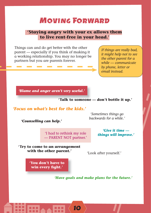## Moving Forward

#### **'Staying angry with your ex allows them to live rent-free in your head.'**

Things can and do get better with the other parent — especially if you think of making it a working relationship. You may no longer be partners but you are parents forever.

*If things are really bad, it might help not to see the other parent for a while — communicate by phone, letter or email instead.*

*'Blame and anger aren't very useful.'*

**'Talk to someone — don't bottle it up.'**

#### *'Focus on what's best for the kids.'*

*'Counselling can help.'*

*'Sometimes things go backwards for a while.'*

'I had to rethink my role — PARENT NOT partner.'

*'Give it time things will improve.'*

**'Try to come to an arrangement with the other parent.'**

'Look after yourself.'

**'You don't have to**  win every fight.'

*'Have goals and make plans for the future.'*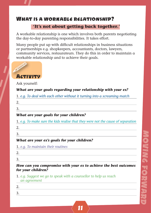#### What is a workable relationship?

#### **'It's not about getting back together.'**

A workable relationship is one which involves both parents negotiating the day-to-day parenting responsibilities. It takes effort.

Many people put up with difficult relationships in business situations or partnerships e.g. shopkeepers, accountants, doctors, lawyers, community services, restaurateurs. They do this in order to maintain a workable relationship and to achieve their goals.



Ask yourself:

#### *What are your goals regarding your relationship with your ex?*

1. *e.g. To deal with each other without it turning into a screaming match*

- 2.
- 3.

#### *What are your goals for your children?*

1. *e.g. To make sure the kids realise that they were not the cause of separation* 

- 2.
- 3.

#### *What are your ex's goals for your children?*

- 1. *e.g. To maintain their routines*
- 2. 3.

#### *How can you compromise with your ex to achieve the best outcomes for your children?*

1. *e.g. Suggest we go to speak with a counsellor to help us reach an agreement*

| ◠<br><u>.</u>            |  |  |
|--------------------------|--|--|
| $\sqrt{2}$<br>. <i>.</i> |  |  |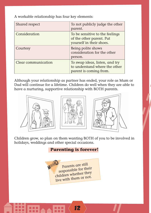A workable relationship has four key elements:

| Shared respect      | To not publicly judge the other<br>parent.                                                |
|---------------------|-------------------------------------------------------------------------------------------|
| Consideration       | To be sensitive to the feelings<br>of the other parent. Put<br>yourself in their shoes.   |
| Courtesy            | Being polite shows<br>consideration for the other<br>person.                              |
| Clear communication | To swap ideas, listen, and try<br>to understand where the other<br>parent is coming from. |

Although your relationship as partner has ended, your role as Mum or Dad will continue for a lifetime. Children do well when they are able to have a nurturing, supportive relationship with BOTH parents.



Children grow, so plan on them wanting BOTH of you to be involved in holidays, weddings and other special occasions.

**Parenting is forever!**

Parents are still responsible for their children whether they live with them or not.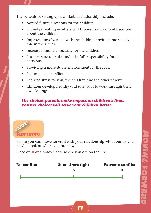The benefits of setting up a workable relationship include:

- Agreed future directions for the children.
- Shared parenting where BOTH parents make joint decisions about the children.
- Improved involvement with the children having a more active role in their lives.
- Increased financial security for the children.
- Less pressure to make and take full responsibility for all decisions.
- Providing a more stable environment for the kids.
- Reduced legal conflict.
- Reduced stress for you, the children and the other parent.
- Children develop healthy and safe ways to work through their own feelings.

#### *The choices parents make impact on children's lives. Positive choices will serve your children better.*



Before you can move forward with your relationship with your ex you need to look at where you are now.

Place an **X** and today's date where you are on the line.

| <b>No conflict</b> | <b>Sometimes fight</b> | <b>Extreme conflict</b> |
|--------------------|------------------------|-------------------------|
|                    | 5                      | 10                      |
|                    |                        |                         |
|                    |                        |                         |
|                    |                        |                         |
|                    |                        |                         |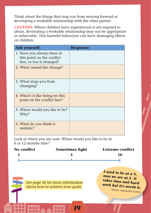Think about the things that stop you from moving forward or developing a workable relationship with the other parent.

**CAUTION**: Where children have experienced or are exposed to abuse, developing a workable relationship may not be appropriate or achievable. This harmful behaviour can have damaging effects on children.

| <b>Ask yourself:</b>                                                                 | <b>Response:</b> |
|--------------------------------------------------------------------------------------|------------------|
| 1. Have you always been at<br>this point on the conflict<br>line, or has it changed? |                  |
| 2. What caused the change?                                                           |                  |
| 3. What stops you from<br>changing?                                                  |                  |
| 4. What's it like being on this<br>point on the conflict line?                       |                  |
| 5. Where would you like to be?<br>Why?                                               |                  |
| 6. What do you think is<br>reglistic?                                                |                  |

Look at where you are now. Where would you like to be in 6 or 12 months time?

| No conflict | <b>Sometimes fight</b> | <b>Extreme conflict</b> |
|-------------|------------------------|-------------------------|
|             |                        | 10                      |
|             |                        |                         |

14

See page 36 for more information about how to achieve your goals.

*I used to be at a 9, now we are at 2. It takes time and hard work but it's worth it.*

Simon, separated 3 years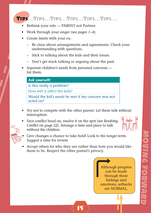#### Tips…Tips…Tips…Tips…Tips…Tips…

- Rethink your role PARENT not Partner.
- Work through your anger (see *pages 1–4*).
- Create limits with your ex:
	- Be clear about arrangements and agreements. Check your understanding with questions.
	- Stick to talking about the kids and their issues.
	- Don't get stuck talking or arguing about the past.
- Separate children's needs from personal concerns list them.

#### *Ask yourself:*

Is this really a problem?

How will it affect the kids?

Would the kid's needs be met if my concern was not acted on?

- Try not to compete with the other parent. Let them talk without interruption.
- Face conflict head on, resolve it on the spot (see *Resolving Conflict* on page 22). Arrange a time and place to talk without the children.



- 
- Give changes a chance to take hold! Look to the longer term. Suggest a time for review.
- Accept others for who they are rather than how you would like them to be. Respect the other parent's privacy.

15

Although progress can be made through these feelings and emotions, setbacks are NORMAL.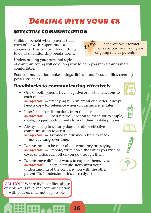## Dealing with your ex

#### Effective Communication

Children benefit when parents treat each other with respect and can cooperate. This can be a tough thing to do as a relationship breaks down.

Understanding your personal style

of communicating will go a long way to help you make things more comfortable.

Poor communication makes things difficult and feeds conflict, creating power struggles.

#### **Roadblocks to communicating effectively**

• One or both parents have negative or hostile reactions to each other.

*Suggestion* — try saying it in an email or a letter (always keep a copy for reference when discussing issues later).

- Interference or distractions from the outside. *Suggestion* — use a neutral location to meet, for example, a cafe; suggest both parents turn off their mobile phones.
- Always being in a hurry does not allow effective communication to occur. *Suggestion* — Arrange in advance a time to speak — not at changeover time.
- Parents need to be clear about what they are saying. *Suggestion* — Prepare, write down the issues you wish to cover and tick each off as you go through them.

16

• Parents have different words to express themselves. **Suggestion** — Keep it simple. Reconfirm your understanding of the conversation with the other parent 'Do I understand this correctly…?'

CAUTION!! Where high conflict, abuse or violence is involved, communication with your ex may not be possible.









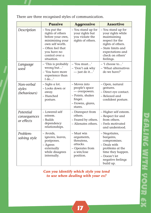There are three recognised styles of communication.

|                                         | <b>Passive</b>                                                                                                                                                                                                                                   | <b>Aggressive</b>                                                                                              | <b>Assertive</b>                                                                                                                                                          |
|-----------------------------------------|--------------------------------------------------------------------------------------------------------------------------------------------------------------------------------------------------------------------------------------------------|----------------------------------------------------------------------------------------------------------------|---------------------------------------------------------------------------------------------------------------------------------------------------------------------------|
| Description                             | - You stand up for<br>- You put the<br>rights of others<br>your rights but<br>before your own,<br>you violate the<br>minimising your<br>rights of others.<br>own self worth.<br>- Often feel that<br>you have no<br>control over a<br>situation. |                                                                                                                | - You stand up for<br>your rights while<br>maintaining<br>respect for the<br>rights of others.<br>– State limits and<br>expectations and<br>check on others'<br>feelings. |
| Language<br>used                        | – 'This is probably<br>wrong but'<br>- 'You have more<br>experience than<br>Ido'                                                                                                                                                                 | $-$ 'You must'<br>- 'Don't ask why<br>$-$ just do it'                                                          | - 'I choose to'<br>- 'What alternatives<br>do we have?'                                                                                                                   |
| Non-verbal<br>styles<br>(behaviours)    | - Sighs a lot.<br>- Looks down or<br>away.<br>- Hunched<br>posture.                                                                                                                                                                              | - Moves into<br>people's space<br>- overpowers.<br>- Points, shakes<br>finger.<br>- Frowns, glares,<br>stares. | – Open, natural<br>gestures.<br>- Direct eye contact.<br>- Relaxed and<br>confident posture.                                                                              |
| Potential<br>consequences<br>or effects | - Lowered self<br>esteem.<br>- Builds<br>dependency<br>relationships.                                                                                                                                                                            | - Disrespect from<br>others.<br>– Feared by others.<br>- Alienates others.                                     | - Higher self esteem.<br>- Respect for and<br>from others.<br>- Feels motivated<br>and understood.                                                                        |
| Problem-<br>solving style               | – Avoids,<br>ignores, leaves,<br>postpones.<br>– Agrees<br>externally<br>while disagrees<br>internally.                                                                                                                                          | – Must win<br>arguments,<br>threatens,<br>attacks.<br>- Operates from<br>a win/lose<br>position.               | – Negotiates,<br>bargains,<br>compromises.<br>- Deals with<br>problems at the<br>time they happen.<br>- Doesn't let<br>negative feelings<br>build up.                     |

*Can you identify which style you tend to use when dealing with your ex?*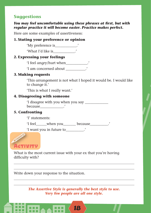#### **Suggestions**

#### *You may feel uncomfortable using these phrases at first, but with regular practice it will become easier. Practice makes perfect.*

Here are some examples of assertiveness:

#### **1. Stating your preference or opinion**

'My preference is\_\_\_\_\_\_\_\_\_\_\_\_.'

'What I'd like is\_\_\_\_\_\_\_\_\_\_\_\_.'

#### **2. Expressing your feelings**

'I feel angry/hurt when\_\_\_\_\_\_\_\_\_\_\_\_.'

'I am concerned about \_\_\_\_\_\_\_\_\_\_\_.'

#### **3. Making requests**

'This arrangement is not what I hoped it would be. I would like to change it.'

'This is what I really want.'

#### **4. Disagreeing with someone**

'I disagree with you when you say \_\_\_\_\_\_\_\_\_\_\_\_\_ because the control of the control of the control of the control of the control of the control of the control of the control of the control of the control of the control of the control of the control of the control of the

#### **5. Confronting**

'I' statements:

'I feel when you because '

'I want you in future to\_\_\_\_\_\_\_\_\_\_.'



What is the most current issue with your ex that you're having difficulty with?

Write down your response to the situation.

*The Assertive Style is generally the best style to use. Very few people are all one style.*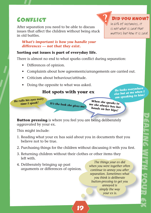## **CONFLICT**

After separation you need to be able to discuss issues that affect the children without being stuck in old battles.

#### *What's important is how you handle your differences — not that they exist.*

#### **Sorting out issues is part of everyday life.**

There is almost no end to what sparks conflict during separation:

- Differences of opinion.
- Complaints about how agreements/arrangements are carried out.
- Criticism about behaviour/attitude.
- Doing the opposite to what was asked.

#### **Hot spots with your ex**

*It's the look she gives me!*

*He rolls his eyes every time I speak!*

*He looks everywhere else but at me when I am speaking to him!*

Did you know? In 60% of instances, it is not what is said that matters but how it is said.

*When she speaks to me she always has her hands on her hips!*

**Button pressing** is where you feel you are being deliberately aggravated by your ex.

This might include:

- 1. Reading what your ex has said about you in documents that you believe not to be true.
- 2. Purchasing things for the children without discussing it with you first.

19

- 3. Returning children without their clothes or other items they left with.
- 4. Deliberately bringing up past arguments or differences of opinion.

*The things your ex did when you were together often continue to annoy you after separation. Sometimes what you think is deliberate button-pressing to get you annoyed is simply the way your ex is.*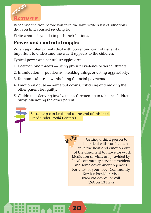

Recognise the trap before you take the bait; write a list of situations that you find yourself reacting to.

Write what it is you do to push their buttons.

#### **Power and control struggles**

When separated parents deal with power and control issues it is important to understand the way it appears to the children.

Typical power and control struggles are:

- 1. Coercion and threats using physical violence or verbal threats.
- 2. Intimidation put downs, breaking things or acting aggressively.
- 3. Economic abuse withholding financial payments.
- 4. Emotional abuse name put downs, criticising and making the other parent feel guilty.
- 5. Children denying involvement, threatening to take the children away, alienating the other parent.



Extra help can be found at the end of this book listed under *Useful Contacts.* 

20

Getting a third person to help deal with conflict can take the heat and emotion out of the argument to move forward. Mediation services are provided by local community service providers and some government agencies. For a list of your local Community Service Providers visit www.csa.gov.au or call CSA on 131 272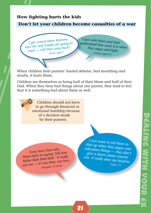#### **How fighting hurts the kids**

#### **Don't let your children become casualties of a war**

*I get scared when Mummy says she and Daddy are going to court — will they come back?* Jared, aged 7

*I just wish Mum and Dad understood how scar y it is when they argue and fight.* Laura, aged 13

When children hear parents' heated debates, bad mouthing and insults, it hurts them.

Children see themselves as being half of their Mum and half of their Dad. When they hear bad things about one parent, they tend to feel that it is something bad about them as well.

21



*Every time Dad calls, Mum butts in saying 'Tell your father blah blah blah.' It really cuts me — it's my time, not hers.* Imogen, 15 years

*I just want to tell them to shut up when they argue over ridiculous things — they don't give a damn about anyon* else. It really does my head in. Isaac, 17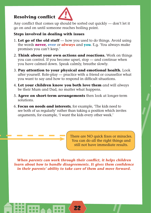## **Resolving conflict**



Any conflict that comes up should be sorted out quickly  $-$  don't let it go on and on until someone reaches boiling point.

#### **Steps involved in dealing with issues**

- 1. **Let go of the old stuff** how you used to do things. Avoid using the words **never, ever** or **always** and **you**. E.g. 'You always make promises you can't keep.'
- 2. **Think about your own actions and reactions.** Work on things you can control. If you become upset, stop — and continue when you have calmed down. Speak calmly, breathe slowly.
- 3. **Pay attention to your physical and emotional health.** Look after yourself. Role-play — practice with a friend or counsellor what you want to say and how to respond in difficult situations.
- 4. **Let your children know you both love them** and will always be their Mum and Dad, no matter what happens.
- 5. **Agree on short-term arrangements** then look at longer-term solutions.
- 6. **Focus on needs and interests**, for example, 'The kids need to see both of us regularly' rather than taking a position which invites arguments, for example, 'I want the kids every other week.'

There are NO quick fixes or miracles. You can do all the right things and still not have immediate results.

*When parents can work through their conflict, it helps children learn about how to handle disagreements. It gives them confidence in their parents' ability to take care of them and move forward.*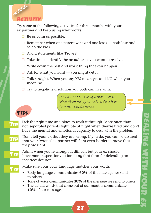

Try some of the following activities for three months with your ex partner and keep using what works:

- $\Box$  Be as calm as possible.
- $\Box$  Remember when one parent wins and one loses both lose and so do the kids.
- $\Box$  Avoid statements like 'Prove it.'
- $\Box$  Take time to identify the actual issue you want to resolve.
- $\Box$  Write down the best and worst thing that can happen.
- $\Box$  Ask for what you want you might get it.
- $\Box$  Talk straight. When you say YES mean yes and NO when you mean no.
- $\Box$  Try to negotiate a solution you both can live with.

For more tips on dealing with conflict see 'What About Me' pp 30–31.To order a free copy visit www.csa.gov.au

## **TIPS**

Th

Tip

Tip

 $\Gamma$  Pick the right time and place to work it through. More often than<br> $\Gamma$ not, separated parents fight late at night when they're tired and don't have the mental and emotional capacity to deal with the problem.

Don't tell your ex that they are wrong. If you do, you can be assured that your 'wrong' ex partner will fight even harder to prove that they are right.

Admit when you're wrong, it's difficult but your ex should have more respect for you for doing that than for defending an incorrect decision.

Make sure your body language matches your words:

- Body language communicates **60%** of the message we send to others.
- Tone of voice communicates **30%** of the message we send to others.

23

• The actual words that come out of our mouths communicate **10%** of our message.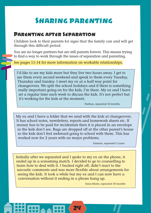## Sharing parenting

#### Parenting after Separation

Children look to their parents for signs that the family can and will get through this difficult period.

You are no longer partners but are still parents forever. This means trying to find a way to work through the issues of separation and parenting.

See pages 11-14 for more information on workable relationships.

I'd like to see my kids more but they live two hours away. I get to see them every second weekend and speak to them every Tuesday, Thursday and Sunday. I meet my ex at a half way point for changeovers. We split the school holidays and if there is something really important going on for the kids, I'm there. My ex and I have set a regular time each week to discuss the kids. It's not perfect but it's working for the kids at the moment.

Nathan, separated 10 months

My ex and I have a folder that we send with the kids at changeovers. It has school notes, newsletters, reports and homework sheets etc. If money has to be paid for incidentals then it is placed in an envelope so the kids don't see. Bags are dropped off at the other parent's house so the kids don't feel awkward going to school with them. This has worked now for 2 years with no major problems.

Damien, separated 3 years

Initially after we separated and I spoke to my ex on the phone, it ended up in a screaming match. I decided to go to counselling to learn how to deal with it. I backed right off, didn't react to the sarcastic comments and was more flexible about arrangements for seeing the kids. It took a while but my ex and I can now have a conversation without it ending in a phone hang up.

24

Anna-Marie, separated 18 months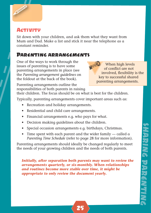

#### **ACTIVITY**

Sit down with your children, and ask them what they want from Mum and Dad. Make a list and stick it near the telephone as a constant reminder.

## Parenting arrangements

One of the ways to work through the issues of parenting is to have some parenting arrangements in place (see the *Parenting arrangement guidelines* on the foldout at the back of the book).

When high levels of conflict are not involved, flexibility is the key to successful shared parenting arrangements.

Parenting arrangements outline the responsibilities of both parents in raising

their children. The focus should be on what is best for the children.

Typically, parenting arrangements cover important areas such as:

- Recreation and holiday arrangements.
- Residential and child care arrangements.
- Financial arrangements e.g. who pays for what.
- Decision making guidelines about the children.
- Special occasion arrangements e.g. birthdays, Christmas.
- Time spent with each parent and the wider family called a *Parenting Time Schedule* (refer to page 28 for more information).

Parenting arrangements should ideally be changed regularly to meet the needs of your growing children and the needs of both parents.

*Initially, after separation both parents may want to review the arrangements quarterly, or six-monthly. When relationships and routines become more stable over time, it might be appropriate to only review the document yearly.*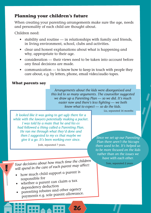#### **Planning your children's future**

When creating your parenting arrangements make sure the age, needs and personality of each child are thought about.

Children need:

- stability and routine in relationships with family and friends, in living environment, school, clubs and activities.
- clear and honest explanations about what is happening and why, appropriate to their age.
- consideration their views need to be taken into account before any final decisions are made.
- communication to know how to keep in touch with people they care about, e.g. by letters, phone, email video/audio tapes.

26

#### **What parents say**

*Arrangements about the kids were disorganised and this led to so many arguments. The counsellor suggested we draw up a Parenting Plan — so we did. It's much easier now and there's less fighting — we both know what to expect — so do the kids.* 

Liz, separated 16 months

*It looked like it was going to get ugly there for a while with the lawyers potentially making a packet. I was told by a mate that he and his ex had followed a thing called a Parenting Plan. He ran me through what they'd done and then I suggested to my ex that maybe we give it a go. It's been working ever since.*

Josh, separated 7 years.

*Since we set up our Parenting Plan there aren't the hiccups there used to be. It's helped us to be more focused on the kids rather than on the issues we have with each other.* 

*Your decisions about how much time the children will spend in the care of each parent may affect:* 

- how much child support a parent is responsible for
- whether a parent can claim a tax dependency deduction
- parenting rebates and other agency payments e.g. sole parent allowance.

Tom, separated 2 years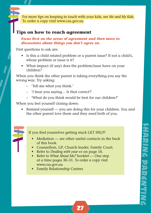For more tips on keeping in touch with your kids, see *Me and My Kids.* To order a copy visit www.csa.gov.au

#### **Tips on how to reach agreement**

Focus first on the areas of agreement and then move to *discussions about things you don't agree on.*

First questions to ask are:

- Is this a child related problem or a parent issue? If not a child's, whose problem or issue is it?
- What impact (if any) does the problem/issue have on your children?

When you think the other parent is taking everything you say the wrong way. Try asking:

- 'Tell me what you think.'
- 'I hear you saying… Is that correct?'
- 'What do you think would be best for our children?'

When you feel yourself closing down:

• Remind yourself — you are doing this for your children. You and the other parent love them and they need both of you.

If you find yourselves getting stuck GET HELP!

• Mediation — see other useful contacts in the back of this book.

- Counsellors, GP, Church leader, Family Court.
- Refer to *Dealing with your ex* on page 16.
- Refer to *What About Me?* booklet One step at a time pages 30–31. To order a copy visit www.csa.gov.au
- Family Relationship Centres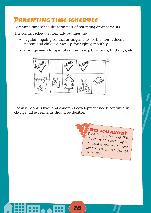## Parenting time schedule

Parenting time schedules form part of parenting arrangements.

The contact schedule normally outlines the:

- regular ongoing contact arrangements for the non-resident parent and child e.g. weekly, fortnightly, monthly
- arrangements for special occasions e.g. Christmas, birthdays, etc.



Because people's lives and children's development needs continually change, all agreements should be flexible.

28

**DID YOU KNOW?** Budgeting for time together, if you live far apart, may be a reason to review your child support assessment. Call CSA on 131 272.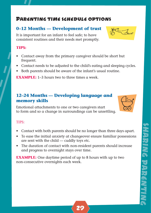## Parenting time schedule options

#### **0–12 Months — Development of trust**

It is important for an infant to feel safe; to have consistent routines and their needs met promptly.

#### **TIPS:**

- Contact away from the primary caregiver should be short but frequent.
- Contact needs to be adjusted to the child's eating and sleeping cycles.
- Both parents should be aware of the infant's usual routine.

**EXAMPLE:** 1–3 hours two to three times a week.

#### **12–24 Months — Developing language and memory skills**

Emotional attachments to one or two caregivers start to form and so a change in surroundings can be unsettling.

#### TIPS:

- Contact with both parents should be no longer than three days apart.
- To ease the initial anxiety at changeover ensure familiar possessions are sent with the child — cuddly toys etc.
- The duration of contact with non-resident parents should increase and progress to overnight stays over time.

**EXAMPLE:** One daytime period of up to 8 hours with up to two non-consecutive overnights each week.







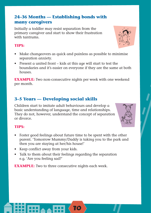#### **24–36 Months — Establishing bonds with many caregivers**

Initially a toddler may resist separation from the primary caregiver and start to show their frustration with tontrums.

#### **TIPS:**

- Make changeovers as quick and painless as possible to minimise separation anxiety.
- Present a united front kids at this age will start to test the boundaries and it's easier on everyone if they are the same at both houses.

**EXAMPLE:** Two non-consecutive nights per week with one weekend per month.

#### **3–5 Years — Developing social skills**

Children start to imitate adult behaviours and develop a basic understanding of language, time and relationships. They do not, however, understand the concept of separation or divorce.

#### **TIPS:**

- Foster good feelings about future time to be spent with the other parent. 'Tomorrow Mummy/Daddy is taking you to the park and then you are staying at her/his house!'
- Keep conflict away from your kids.
- Talk to them about their feelings regarding the separation e.g. 'Are you feeling sad?'

**EXAMPLE:** Two to three consecutive nights each week.



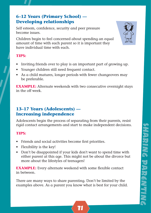#### **6–12 Years (Primary School) — Developing relationships**

Self esteem, confidence, security and peer pressure become issues.

Children begin to feel concerned about spending an equal amount of time with each parent so it is important they have individual time with each.

#### **TIPS:**

- Inviting friends over to play is an important part of growing up.
- Younger children still need frequent contact.
- As a child matures, longer periods with fewer changeovers may be preferable.

**EXAMPLE:** Alternate weekends with two consecutive overnight stays in the off week.

#### **13–17 Years (Adolescents) — Increasing independence**

Adolescents begin the process of separating from their parents, resist rigid contact arrangements and start to make independent decisions.

#### **TIPS:**

- Friends and social activities become first priorities.
- Flexibility is the key!
- Don't be disappointed if your kids don't want to spend time with either parent at this age. This might not be about the divorce but more about the lifestyles of teenagers!

**EXAMPLE:** Every alternate weekend with some flexible contact in between.

There are many ways to share parenting. Don't be limited by the examples above. As a parent you know what is best for your child.

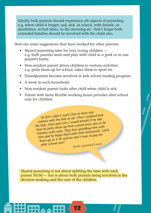Ideally both parents should experience all aspects of parenting e.g. when child is happy, sad, sick, at school, with friends, at mealtimes, at bed times, in the morning etc. Don't forget both extended families should be involved with the child also.

Here are some suggestions that have worked for other parents:

- Shared parenting time for very young children e.g. both parents meet and play with child in a park or in one parent's home.
- Non-resident parent drives children to various activities e.g. picks them up for school, takes them to sport etc.
- Grandparents become involved in kids school reading program.
- A week in each household.
- Non-resident parent looks after child when child is sick.
- Parent with more flexible working hours provides after school care for children.

*'At first I didn't want Glen to have any contact with the kids at all. Then I realised how*  the kids, Glen and even I would benefit if he did. *Now he picks them up from school every day as he fi nishes work early. They love spending time with him and he helps them with their homework. I pick them up at 5.30 and we don't have to pay for after school care!'* Sarah, separated 2 years

Shared parenting is not about splitting the time with each parent 50/50 — but is about both parents being involved in the decision-making and the care of the children.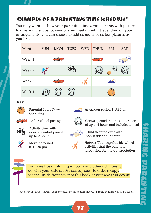## Example of a parenting time schedule\*

You may want to show your parenting time arrangements with pictures to give you a snapshot view of your week/month. Depending on your arrangements, you can choose to add as many or as few pictures as you like.

| Month  | <b>SUN</b> | <b>MON</b> | <b>TUES</b> | <b>WED</b> | <b>THUR</b> | <b>FRI</b> | <b>SAT</b> |
|--------|------------|------------|-------------|------------|-------------|------------|------------|
| Week 1 |            |            |             |            |             |            |            |
| Week 2 |            |            |             |            |             | 7 V        |            |
| Week 3 |            |            |             |            |             |            |            |
| Week 4 |            |            |             |            |             |            |            |

#### **Key**



Parental Sport Duty/ Coaching



Afternoon period 1–5.30 pm



After school pick up



Activity time with non-residential parent up to 2 hours



Morning period 8–12.30 pm



Child sleeping over with non-residential parent

Hobbies/Tutoring/Outside school activities that the parent is responsible for the transportation

Contact period that has a duration of up to 4 hours and includes a meal



For more tips on staying in touch and other activities to do with your kids, see *Me and My Kids.* To order a copy, see the inside front cover of this book or visit www.csa.gov.au

\* Bruce Smyth (2004) 'Parent–child contact schedules after divorce': Family Matters No. 69 pp 32–43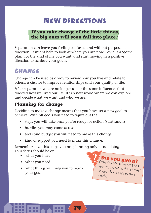## New directions

#### **'If you take charge of the little things, the big ones will soon fall into place.'**

Separation can leave you feeling confused and without purpose or direction. It might help to look at where you are now. Lay out a 'game plan' for the kind of life you want, and start moving in a positive direction to achieve your goals.

## **CHANGE**

Change can be used as a way to review how you live and relate to others; a chance to improve relationships and your quality of life.

After separation we are no longer under the same influences that directed how we lived our life. It is a new world where we can explore and decide what we want and who we are.

#### **Planning for change**

Deciding to make a change means that you have set a new goal to achieve. With all goals you need to figure out the:

- steps you will take once you're ready for action (start small)
- hurdles you may come across
- tools and budget you will need to make this change
- kind of support you need to make this change.

Remember — at this stage you are planning only — not doing. Your focus should be on:

34

- what you have
- what you need
- what things will help you to reach your goal.

Did you know? Changing something requires you to practice it for at least 30 days before it becomes a habit.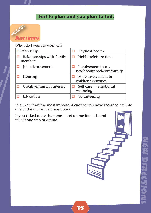#### **Fail to plan and you plan to fail.**



What do I want to work on?

| $\Box$ Friendships                   | Physical health<br>□                         |
|--------------------------------------|----------------------------------------------|
| Relationships with family<br>members | Hobbies/leisure time                         |
| Job advancement                      | Involvement in my<br>neighbourhood/community |
| Housing                              | More involvement in<br>children's activities |
| Creative/musical interest            | Self care — emotional<br>ш<br>wellbeing      |
| Education                            | Volunteering                                 |

It is likely that the most important change you have recorded fits into one of the major life areas above.

35

If you ticked more than one — set a time for each and take it one step at a time.

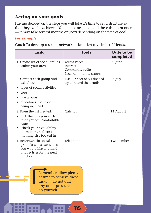#### **Acting on your goals**

Having decided on the steps you will take it's time to set a structure so that they can be achieved. You do not need to do all these things at once — it may take several months or years depending on the type of goal.

#### *For example*

**Goal:** To develop a social network — broaden my circle of friends.

| Task                                                                                                                                                                   | <b>Tools</b>                                                                  | Date to be<br>completed |
|------------------------------------------------------------------------------------------------------------------------------------------------------------------------|-------------------------------------------------------------------------------|-------------------------|
| 1. Create list of social groups<br>within your area                                                                                                                    | <b>Yellow Pages</b><br>Internet<br>Community radio<br>Local community centres | 30 June                 |
| 2. Contact each group and<br>ask about:<br>types of social activities<br>costs<br>age groups<br>guidelines about kids<br>being included                                | $List$ – Sheet of A4 divided<br>up to record the details                      | 26 July                 |
| 3. From the list created:<br>tick the things in each<br>that you feel comfortable<br>with<br>check your availability<br>— make sure there is<br>nothing else booked in | Colendor                                                                      | 14 August               |
| 4. Recontact the social<br>group(s) whose activities<br>you would like to attend<br>and register for the next<br>function                                              | Telephone                                                                     | 1 September             |

36

Remember allow plenty of time to achieve these tasks — do not add any other pressure on yourself.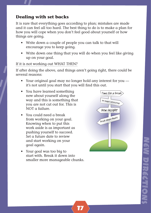#### **Dealing with set backs**

It is rare that everything goes according to plan; mistakes are made and it can feel all too hard. The best thing to do is to make a plan for how you will cope when you don't feel good about yourself or how things are going.

- Write down a couple of people you can talk to that will encourage you to keep going.
- Write down one thing that you will do when you feel like giving up on your goal.

#### If it is not working out WHAT THEN?

If after doing the above, and things aren't going right, there could be several reasons:

• Your original goal may no longer hold any interest for you it's not until you start that you will find this out.

37

- You have learned something new about yourself along the way and this is something that you are not cut out for. This is NOT a failure.
- You could need a break from working on your goal. Knowing when to put this work aside is as important as pushing yourself to succeed. Set a future date to review and start working on your goal again.
- Your goal was too big to start with. Break it down into smaller more manageable chunks.



EW MYRKERHYO

DIRECTIONS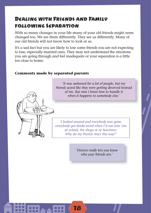## Dealing with Friends and Family following Separation

With so many changes in your life many of your old friends might seem changed too. We see them differently. They see us differently. Many of our old friends will not know how to look at us.

It's a sad fact but you are likely to lose some friends you are not expecting to lose, especially married ones. They may not understand the emotions you are going through and feel inadequate or your separation is a little too close to home.

#### **Comments made by separated parents**



*'It was awkward for a lot of people, but my friends acted like they were getting divorced instead of me. But now I know how to handle it when it happens to somebody else.'*

*'I looked around and everybody was gone, everybody got kinda weird when I'd run into 'em at school, the shops or at functions. Why do my friends react this way?'*

38

*'Divorce really lets you know who your friends are.'*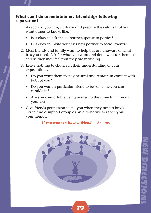#### **What can I do to maintain my friendships following separation?**

- 1. As soon as you can, sit down and prepare the details that you want others to know, like:
	- Is it okay to ask the ex partner/spouse to parties?
	- Is it okay to invite your ex's new partner to social events?
- 2. Most friends and family want to help but are unaware of what it is you need. Ask for what you want and don't wait for them to call as they may feel that they are intruding.
- 3. Leave nothing to chance in their understanding of your expectations.
	- Do you want them to stay neutral and remain in contact with both of you?
	- Do you want a particular friend to be someone you can confide in?
	- Are you comfortable being invited to the same function as your ex?
- 4. Give friends permission to tell you when they need a break. Try to find a support group as an alternative to relying on your friends.

*If you want to have a friend — be one.* 

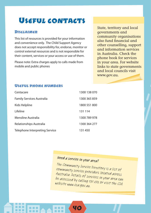## USEFUL CONTACTS

#### Disclaimer

. . .

This list of resources is provided for your information and convenience only. The Child Support Agency does not accept responsibility for, endorse, monitor or control external resources and is not responsible for their content, services or your access or use of them.

Please note: Extra charges apply to calls made from mobile and public phones

State, territory and local governments and community organisations also fund financial and other counselling, support and information services in Australia. Check the phone book for services in your area. For website links to state governments and local councils visit www.gov.au.

#### Useful phone numbers

| Centacare                        | 1300 138 070 |
|----------------------------------|--------------|
| <b>Family Services Australia</b> | 1300 365 859 |
| Kids Helpline                    | 1800 551 800 |
| Lifeline                         | 131 114      |
| Mensline Australia               | 1300 789 978 |
| Relationships Australia          | 1300 364 277 |
| Telephone Interpreting Service   | 131 450      |

## Need a service in your area?

40

The Community Service Directory is a list of community service providers located across Australia. Details of services in your area can be accessed by calling 131 272 or visit the CSA website www.csa.gov.au.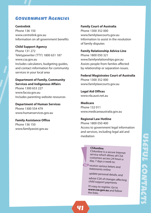#### GOVEDNMENT AGENCIES

**Centrelink** Phone 136 150 www.centrelink.gov.au Information on all government benefits

#### **Child Support Agency**

Phone 131 272 Teletypewriter (TTY) 1800 631 187 www.csa.gov.au Includes calculators, budgeting guides, and contact information for community services in your local area

#### **Department of Family, Community Services and Indigenous Affairs**

Phone 1300 653 227 www.facsia.gov.au Includes parenting website resources

**Department of Human Services** Phone 1300 554 479 www.humanservices.gov.au

**Family Assistance Office** Phone 136 150 www.familyassist.gov.au

#### **Family Court of Australia**

Phone 1300 352 000 www.familylawcourts.gov.au Information to assist in the resolution of family disputes

**Family Relationship Advice Line** Phone 1800 050 321 www.familyrelationships.gov.au Assists people from famlies affected by relationship or separation issues.

#### **Federal Magistrates Court of Australia**

Phone 1300 352 000 www.familylawcourts.gov.au

**Legal Aid Offices** www.nla.aust.net.au

**Medicare** Phone 132 011 www.medicareaustralia.gov.au

#### **Regional Law Hotline**

Phone 1800 050 400 Access to government legal information and services, including legal aid and mediation

#### **CSAonline**

CSAonline is a secure Internet service which allows all CSA customers access 24 hours a day, 7 days a week to:

*P* receive various letters and statements online

update personal details, and

advise CSA of changes affecting child support payments

It's easy to register. Go to **www.csa.gov.au** and follow the links.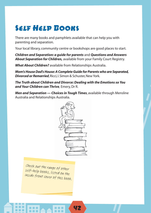## Self Help Books

There are many books and pamphlets available that can help you with parenting and separation.

Your local library, community centre or bookshops are good places to start.

*Children and Separation: a guide for parents* and *Questions and Answers About Separation for Children,* available from your Family Court Registry.

*What About Children?* available from Relationships Australia.

*Mom's House Dad's House: A Complete Guide for Parents who are Separated, Divorced or Remarried*, Ricci, I. Simon & Schuster, New York.

*The Truth about Children and Divorce: Dealing with the Emotions so You and Your Children can Thrive,* Emery, Dr R.

*Men and Separation — Choices in Tough Times*, available through Mensline Australia and Relationships Australia.



42

Check out the range of other self-help books, listed on the inside front cover of this book.

. . .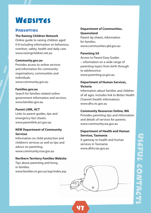## WERSITES

#### **PARENTING**

#### **The Raising Children Network**

Online guide to raising children aged 0-8 including information on behaviour, nutrition, safety, health and daily care. www.raisingchildren.net.au

#### **Community.gov.au**

Provides access to online services and information for community organisations, communities and individuals. www.community.gov.au

#### **Families.gov.au**

Search for families-related online government information and services. www.families.gov.au

#### **Parent LINK, ACT**

Links to parent guides, tips and emergency fact sheets. www.parentlink.act.gov.au

#### **NSW Department of Community Services**

Information on child protection and children's services as well as tips and advice on parenting. www.community.nsw.gov.au

#### **Northern Territory Families Website**

Tips about parenting and living in families. www.families.nt.gov.au/asp/index.asp

#### **Department of Communities, Queensland**

Parent tip sheets, information for families. www.communities.qld.gov.au

#### **Parenting SA**

Access to Parent Easy Guides – information on a wide range of parenting topics from birth through to adolescence. www.parenting.sa.gov.au

#### **Department of Human Services, Victoria**

Information about families and children of all ages. Includes link to Better Health Channel (health information). www.dhs.vic.gov.au

#### **Community Resources Online, WA**

Provides parenting tips and information and details of services for parents. www.community.wa.gov.au

#### **Department of Health and Human Services, Tasmania**

A gateway to health and human services in Tasmania www.dhhs.tas.gov.au

43

USEUL CONTRIGE CONTACTS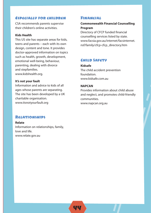#### Especially for children

CSA recommends parents supervise their children's online activities.

#### **Kids Health**

This US site has separate areas for kids, teens and parents – each with its own design, content and tone. It provides doctor-approved information on topics such as health, growth, development, emotional well-being, behaviour, parenting, dealing with divorce and stepfamilies. www.kidshealth.org.

#### **It's not your fault**

Information and advice to kids of all ages whose parents are separating. The site has been developed by a UK charitable organisation. www.itsnotyourfault.org

#### **RELATIONSHIPS**

**Relate** Information on relationships, family, love and life. www.relate.gov.au

#### Financial

#### **Commonwealth Financial Counselling Program**

Directory of CFCP funded financial counselling services listed by state. www.facsia.gov.au/internet/facsinternet. nsf/family/cfcp-cfcp\_directory.htm

#### Child Safety

**Kidsafe** The child accident prevention foundation. www.kidsafe.com.au

#### **NAPCAN**

Provides information about child abuse and neglect, and promotes child-friendly communities. www.napcan.org.au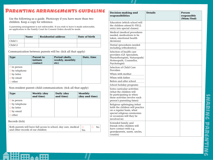## Parenting arrangements guideline

Use the following as a guide. Photocopy if you have more than two children. Keep a copy for reference.

A parenting arrangement is not enforceable. If you wish to have it made enforceable, an application to the Family Court for Consent Orders should be made.

|         | <b>Name</b> | <b>Residential address</b> | Date of birth |
|---------|-------------|----------------------------|---------------|
| Child 1 |             |                            |               |
| Child 2 |             |                            |               |

Communication between parents will be: (tick all that apply)

| <b>Type</b>         | <b>Parent to</b><br>initiate<br>contact | Period (daily,<br>weekly, monthly<br>etc) | Date, time |
|---------------------|-----------------------------------------|-------------------------------------------|------------|
| $\Box$ in person    |                                         |                                           |            |
| $\Box$ by telephone |                                         |                                           |            |
| $\Box$ by letter    |                                         |                                           |            |
| $\Box$ by email     |                                         |                                           |            |
| other               |                                         |                                           |            |

Non-resident parent–child communication: (tick all that apply)

| <b>Type</b>         | <b>Weekly (day</b><br>and time) | <b>Daily (day</b><br>and time) | Monthly<br>(day and time) |
|---------------------|---------------------------------|--------------------------------|---------------------------|
| $\Box$ in person    |                                 |                                |                           |
| $\Box$ by telephone |                                 |                                |                           |
| $\Box$ by letter    |                                 |                                |                           |
| $\Box$ by email     |                                 |                                |                           |
| other               |                                 |                                |                           |

Records (tick)

| Both parents will have full access to school, day care, medical $  \Box$ |     | No <sub>1</sub> |
|--------------------------------------------------------------------------|-----|-----------------|
| and other records of our children                                        | Yes |                 |

| <b>Decision-making and</b><br>responsibilities                                                                                                                          | <b>Details</b> | <b>Person</b><br>responsible<br>(Mum/Dad) |
|-------------------------------------------------------------------------------------------------------------------------------------------------------------------------|----------------|-------------------------------------------|
| Education (which school will<br>the children attend K-YR12;<br>entry into special classes)                                                                              |                |                                           |
| Medical (medical procedures<br>needed, medications to be<br>taken, emotional health<br>decisions)                                                                       |                |                                           |
| Dental (procedures needed<br>including orthodontics)                                                                                                                    |                |                                           |
| Selection of health care<br>providers (GP, Specialists,<br>Physiotherapists, Naturopath/<br>Homeopath, Counsellor,<br>Psychologist)                                     |                |                                           |
| Selection of Child Care<br>Providers                                                                                                                                    |                |                                           |
| When with mother                                                                                                                                                        |                |                                           |
| When with father                                                                                                                                                        |                |                                           |
| Before and after school                                                                                                                                                 |                |                                           |
| School holiday programs                                                                                                                                                 |                |                                           |
| Extra curricular activities<br>(what the children will<br>be participating in when<br>these activities involve each<br>person's parenting times)                        |                |                                           |
| Religious upbringing (what<br>faith the children will practice<br>on a regular basis, what<br>special religious ceremonies<br>or occasions will they be<br>involved in) |                |                                           |
| Extended family and<br>friends (who children will<br>have contact with e.g.<br>grandparents, aunts, uncles,<br>cousins)                                                 |                |                                           |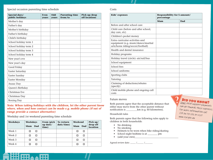#### Special occasion parenting time schedule

| Special days/<br>public holidays | <b>Even</b><br>vears | Odd<br>vears | <b>Parenting time</b><br>from/to | Pick up/drop<br>off locations |
|----------------------------------|----------------------|--------------|----------------------------------|-------------------------------|
| Mother's day                     |                      |              |                                  |                               |
| Father's day                     |                      |              |                                  |                               |
| Mother's birthday                |                      |              |                                  |                               |
| Father's birthday                |                      |              |                                  |                               |
| Child's birthday                 |                      |              |                                  |                               |
| School holiday term 1            |                      |              |                                  |                               |
| School holiday term 2            |                      |              |                                  |                               |
| School holiday term 3            |                      |              |                                  |                               |
| School holiday term 4            |                      |              |                                  |                               |
| New year's eve                   |                      |              |                                  |                               |
| New year's day                   |                      |              |                                  |                               |
| Good Friday                      |                      |              |                                  |                               |
| Easter Saturday                  |                      |              |                                  |                               |
| Easter Sunday                    |                      |              |                                  |                               |
| Easter Monday                    |                      |              |                                  |                               |
| Anzac Day                        |                      |              |                                  |                               |
| Queen's Birthday                 |                      |              |                                  |                               |
| Christmas Eve                    |                      |              |                                  |                               |
| Christmas Day                    |                      |              |                                  |                               |
| <b>Boxing Day</b>                |                      |              |                                  |                               |

*Note: When taking holidays with the children, let the other parent know where, when and how contact can be made e.g. mobile phone (if out of range provide a contact alternative)*

Weekday and /or weekend parenting time schedule

| <b>Weekdays</b> | <b>Weekdays</b> |            | From (pick          | To (return | Weekend |            | Pick up/             |
|-----------------|-----------------|------------|---------------------|------------|---------|------------|----------------------|
|                 | Mum             | <b>Dad</b> | $up$ date/<br>time) | date/time) | Mum     | <b>Dad</b> | drop off<br>location |
| Week 1          |                 | ◻          |                     |            |         | □          |                      |
| Week 2          |                 | □          |                     |            |         | □          |                      |
| Week 3          |                 | □          |                     |            |         | □          |                      |
| Week 4          |                 | п          |                     |            |         | □          |                      |

#### Costs

| Kids' expenses                                                                                               | <b>Responsibility for \$ amount/</b><br>percentage |     |  |  |
|--------------------------------------------------------------------------------------------------------------|----------------------------------------------------|-----|--|--|
|                                                                                                              | Mum                                                | Dad |  |  |
| Before and after school care                                                                                 |                                                    |     |  |  |
| Child care (before and after school;<br>day care, etc)                                                       |                                                    |     |  |  |
| Children's pocket money                                                                                      |                                                    |     |  |  |
| Extra curricular activities and<br>equipment (e.g. music/dance/martial<br>arts/horse riding/soccer/football) |                                                    |     |  |  |
| Health and dental insurance                                                                                  |                                                    |     |  |  |
| Holiday programs                                                                                             |                                                    |     |  |  |
| Holiday travel (circle): air/rail/bus                                                                        |                                                    |     |  |  |
| School equipment                                                                                             |                                                    |     |  |  |
| School fees                                                                                                  |                                                    |     |  |  |
| School uniforms                                                                                              |                                                    |     |  |  |
| Sporting clubs                                                                                               |                                                    |     |  |  |
| Tutoring                                                                                                     |                                                    |     |  |  |
| Claiming of deductions/rebates<br>(specify)                                                                  |                                                    |     |  |  |
| Child mobile phone and ongoing call<br>costs                                                                 |                                                    |     |  |  |

#### Future moves

Both parents agree that the acceptable distance that either may move from the other parent without notification is  $\mu$  km (e.g. 60 kilometres).

#### Household rules

Both parents agree that the following rules apply to children in both households:

- No drinking
- No smoking
- Helmets to be worn when bike riding/skating
- School night bedtime is at \_\_\_\_\_\_\_\_ pm
- (add your own)

Agreed review date:  $\frac{1}{2}$  / $\frac{1}{2}$ 

## **DID YOU KNOW?**

Some child support payments can go towards these expenses. For more information call CSA on 131 272 or visit www.csa.gov.au